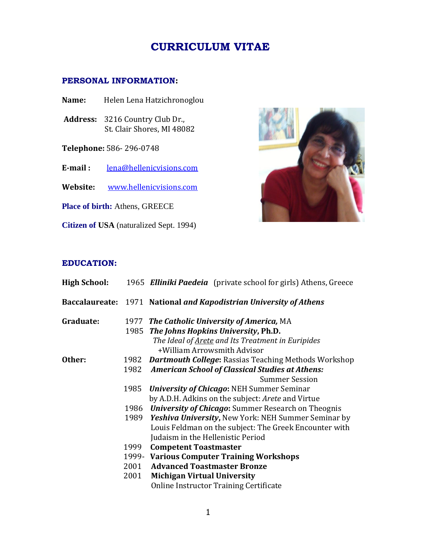## **CURRICULUM VITAE**

## **PERSONAL INFORMATION:**

- **Name:** Helen Lena Hatzichronoglou
- **Address:** 3216 Country Club Dr., St. Clair Shores, MI 48082
- **Telephone:** 586- 296-0748
- **E-mail :** [lena@hellenicvisions.com](mailto:lena@hellenicvisions.com)
- **Website:** [www.hellenicvisions.com](http://www.hellenicvisions.com/)

**Place of birth:** Athens, GREECE

**Citizen of USA** (naturalized Sept. 1994)



## **EDUCATION:**

| <b>High School:</b> | 1965 Elliniki Paedeia (private school for girls) Athens, Greece    |
|---------------------|--------------------------------------------------------------------|
|                     | Baccalaureate: 1971 National and Kapodistrian University of Athens |
| Graduate:           | 1977 The Catholic University of America, MA                        |
|                     | 1985 The Johns Hopkins University, Ph.D.                           |
|                     | The Ideal of <b>Arete</b> and Its Treatment in Euripides           |
|                     | +William Arrowsmith Advisor                                        |
| Other:<br>1982      | <b>Dartmouth College: Rassias Teaching Methods Workshop</b>        |
| 1982                | <b>American School of Classical Studies at Athens:</b>             |
|                     | <b>Summer Session</b>                                              |
| 1985                | <b>University of Chicago: NEH Summer Seminar</b>                   |
|                     | by A.D.H. Adkins on the subject: Arete and Virtue                  |
|                     | 1986 University of Chicago: Summer Research on Theognis            |
|                     | 1989 Yeshiva University, New York: NEH Summer Seminar by           |
|                     | Louis Feldman on the subject: The Greek Encounter with             |
|                     | Judaism in the Hellenistic Period                                  |
| 1999                | <b>Competent Toastmaster</b>                                       |
|                     | 1999 Various Computer Training Workshops                           |
| 2001                | <b>Advanced Toastmaster Bronze</b>                                 |
| 2001                | <b>Michigan Virtual University</b>                                 |
|                     | Online Instructor Training Certificate                             |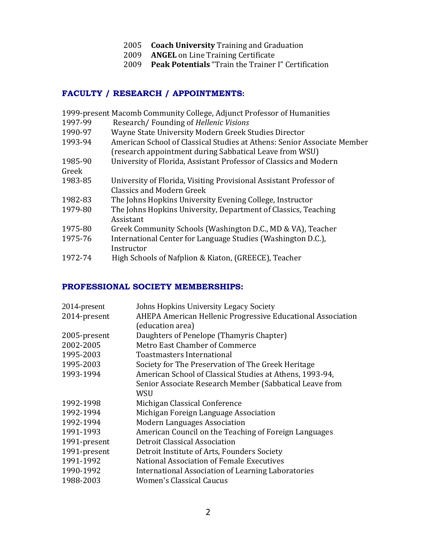- 2005 **Coach University** Training and Graduation
- 2009 **ANGEL** on Line Training Certificate
- 2009 **Peak Potentials** "Train the Trainer I" Certification

## **FACULTY / RESEARCH / APPOINTMENTS:**

|  |  |  | 1999-present Macomb Community College, Adjunct Professor of Humanities |  |
|--|--|--|------------------------------------------------------------------------|--|
|  |  |  |                                                                        |  |

- 1997-99 Research/ Founding of *Hellenic Visions*
- 1990-97 Wayne State University Modern Greek Studies Director
- 1993-94 American School of Classical Studies at Athens: Senior Associate Member (research appointment during Sabbatical Leave from WSU)
- 1985-90 University of Florida, Assistant Professor of Classics and Modern Greek
- 1983-85 University of Florida, Visiting Provisional Assistant Professor of Classics and Modern Greek
- 1982-83 The Johns Hopkins University Evening College, Instructor
- 1979-80 The Johns Hopkins University, Department of Classics, Teaching Assistant
- 1975-80 Greek Community Schools (Washington D.C., MD & VA), Teacher
- 1975-76 International Center for Language Studies (Washington D.C.), **Instructor**
- 1972-74 High Schools of Nafplion & Kiaton, (GREECE), Teacher

## **PROFESSIONAL SOCIETY MEMBERSHIPS:**

| 2014-present | Johns Hopkins University Legacy Society                     |
|--------------|-------------------------------------------------------------|
| 2014-present | AHEPA American Hellenic Progressive Educational Association |
|              | (education area)                                            |
| 2005-present | Daughters of Penelope (Thamyris Chapter)                    |
| 2002-2005    | <b>Metro East Chamber of Commerce</b>                       |
| 1995-2003    | Toastmasters International                                  |
| 1995-2003    | Society for The Preservation of The Greek Heritage          |
| 1993-1994    | American School of Classical Studies at Athens, 1993-94,    |
|              | Senior Associate Research Member (Sabbatical Leave from     |
|              | <b>WSU</b>                                                  |
| 1992-1998    | Michigan Classical Conference                               |
| 1992-1994    | Michigan Foreign Language Association                       |
| 1992-1994    | <b>Modern Languages Association</b>                         |
| 1991-1993    | American Council on the Teaching of Foreign Languages       |
| 1991-present | Detroit Classical Association                               |
| 1991-present | Detroit Institute of Arts, Founders Society                 |
| 1991-1992    | National Association of Female Executives                   |
| 1990-1992    | <b>International Association of Learning Laboratories</b>   |
| 1988-2003    | <b>Women's Classical Caucus</b>                             |
|              |                                                             |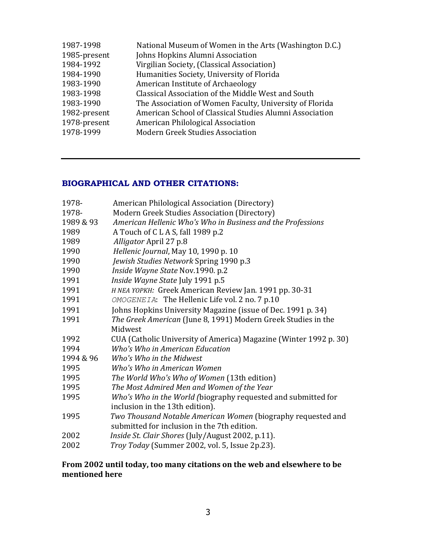| 1987-1998    | National Museum of Women in the Arts (Washington D.C.)  |
|--------------|---------------------------------------------------------|
| 1985-present | Johns Hopkins Alumni Association                        |
| 1984-1992    | Virgilian Society, (Classical Association)              |
| 1984-1990    | Humanities Society, University of Florida               |
| 1983-1990    | American Institute of Archaeology                       |
| 1983-1998    | Classical Association of the Middle West and South      |
| 1983-1990    | The Association of Women Faculty, University of Florida |
| 1982-present | American School of Classical Studies Alumni Association |
| 1978-present | American Philological Association                       |
| 1978-1999    | <b>Modern Greek Studies Association</b>                 |

## **BIOGRAPHICAL AND OTHER CITATIONS:**

| American Philological Association (Directory)                     |
|-------------------------------------------------------------------|
| Modern Greek Studies Association (Directory)                      |
| American Hellenic Who's Who in Business and the Professions       |
| A Touch of CLAS, fall 1989 p.2                                    |
| Alligator April 27 p.8                                            |
| Hellenic Journal, May 10, 1990 p. 10                              |
| Jewish Studies Network Spring 1990 p.3                            |
| Inside Wayne State Nov.1990. p.2                                  |
| Inside Wayne State July 1991 p.5                                  |
| H NEA YOPKH: Greek American Review Jan. 1991 pp. 30-31            |
| OMOGENEIA: The Hellenic Life vol. 2 no. 7 p.10                    |
| Johns Hopkins University Magazine (issue of Dec. 1991 p. 34)      |
| The Greek American (June 8, 1991) Modern Greek Studies in the     |
| Midwest                                                           |
| CUA (Catholic University of America) Magazine (Winter 1992 p. 30) |
| Who's Who in American Education                                   |
| Who's Who in the Midwest                                          |
| Who's Who in American Women                                       |
| The World Who's Who of Women (13th edition)                       |
| The Most Admired Men and Women of the Year                        |
| Who's Who in the World (biography requested and submitted for     |
| inclusion in the 13th edition).                                   |
| Two Thousand Notable American Women (biography requested and      |
| submitted for inclusion in the 7th edition.                       |
| Inside St. Clair Shores (July/August 2002, p.11).                 |
| Troy Today (Summer 2002, vol. 5, Issue 2p.23).                    |
|                                                                   |

## **From 2002 until today, too many citations on the web and elsewhere to be mentioned here**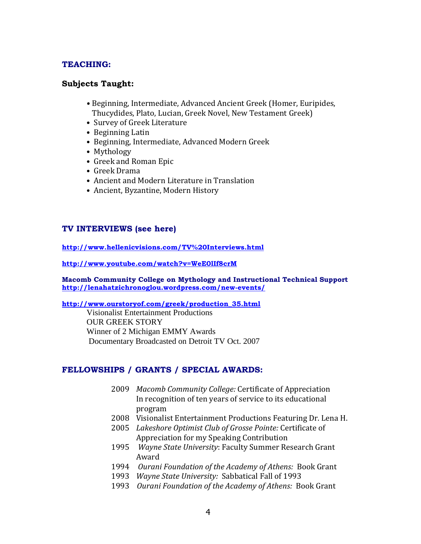## **TEACHING:**

## **Subjects Taught:**

- Beginning, Intermediate, Advanced Ancient Greek (Homer, Euripides, Thucydides, Plato, Lucian, Greek Novel, New Testament Greek)
- Survey of Greek Literature
- Beginning Latin
- Beginning, Intermediate, Advanced Modern Greek
- Mythology
- Greek and Roman Epic
- Greek Drama
- Ancient and Modern Literature in Translation
- Ancient, Byzantine, Modern History

## **TV INTERVIEWS (see here)**

**<http://www.hellenicvisions.com/TV%20Interviews.html>**

**<http://www.youtube.com/watch?v=WeE0lIf8crM>**

**Macomb Community College on Mythology and Instructional Technical Support <http://lenahatzichronoglou.wordpress.com/new-events/>**

### **[http://www.ourstoryof.com/greek/production\\_35.html](http://www.ourstoryof.com/greek/production_35.html)**

Visionalist Entertainment Productions OUR GREEK STORY Winner of 2 Michigan EMMY Awards Documentary Broadcasted on Detroit TV Oct. 2007

## **FELLOWSHIPS / GRANTS / SPECIAL AWARDS:**

- 2009 *Macomb Community College:* Certificate of Appreciation In recognition of ten years of service to its educational program
- 2008 Visionalist Entertainment Productions Featuring Dr. Lena H.
- 2005 *Lakeshore Optimist Club of Grosse Pointe:* Certificate of Appreciation for my Speaking Contribution
- 1995 *Wayne State University*: Faculty Summer Research Grant Award
- 1994 *Ourani Foundation of the Academy of Athens:* Book Grant
- 1993 *Wayne State University:* Sabbatical Fall of 1993
- 1993 *Ourani Foundation of the Academy of Athens:* Book Grant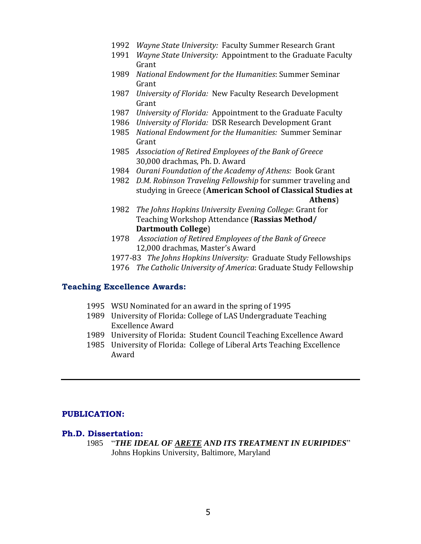- 1992 *Wayne State University:* Faculty Summer Research Grant
- 1991 *Wayne State University:* Appointment to the Graduate Faculty Grant
- 1989 *National Endowment for the Humanities*: Summer Seminar Grant
- 1987 *University of Florida:* New Faculty Research Development Grant
- 1987 *University of Florida:* Appointment to the Graduate Faculty
- 1986 *University of Florida:* DSR Research Development Grant
- 1985 *National Endowment for the Humanities:* Summer Seminar Grant
- 1985 *Association of Retired Employees of the Bank of Greece* 30,000 drachmas, Ph. D. Award
- 1984 *Ourani Foundation of the Academy of Athens:* Book Grant
- 1982 *D.M. Robinson Traveling Fellowship* for summer traveling and studying in Greece (**American School of Classical Studies at Athens**)
- 1982 *The Johns Hopkins University Evening College*: Grant for Teaching Workshop Attendance (**Rassias Method/ Dartmouth College**)
- 1978 *Association of Retired Employees of the Bank of Greece*  12,000 drachmas, Master's Award
- 1977-83 *The Johns Hopkins University:* Graduate Study Fellowships
- 1976 *The Catholic University of America*: Graduate Study Fellowship

## **Teaching Excellence Awards:**

- 1995 WSU Nominated for an award in the spring of 1995
- 1989 University of Florida: College of LAS Undergraduate Teaching Excellence Award
- 1989 University of Florida: Student Council Teaching Excellence Award
- 1985 University of Florida: College of Liberal Arts Teaching Excellence Award

## **PUBLICATION:**

#### **Ph.D. Dissertation:**

1985 "*THE IDEAL OF ARETE AND ITS TREATMENT IN EURIPIDES*" Johns Hopkins University, Baltimore, Maryland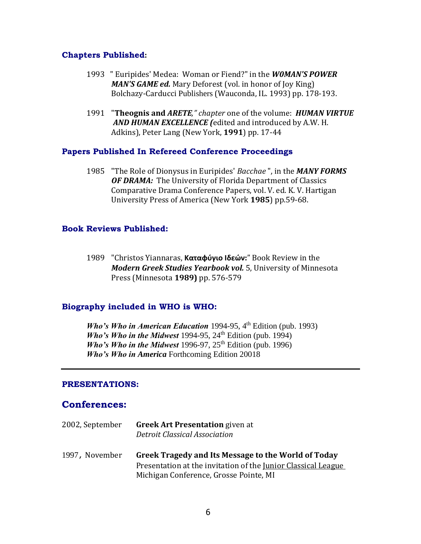## **Chapters Published:**

- 1993 " Euripides' Medea: Woman or Fiend?" in the *W0MAN'S POWER MAN'S GAME ed.* Mary Deforest (vol. in honor of Joy King) Bolchazy-Carducci Publishers (Wauconda, IL. 1993) pp. 178-193.
- 1991 "**Theognis and** *ARETE," chapter* one of the volume: *HUMAN VIRTUE AND HUMAN EXCELLENCE (*edited and introduced by A.W. H. Adkins), Peter Lang (New York, **1991**) pp. 17-44

### **Papers Published In Refereed Conference Proceedings**

1985 "The Role of Dionysus in Euripides' *Bacchae* ", in the *MANY FORMS OF DRAMA:* The University of Florida Department of Classics Comparative Drama Conference Papers, vol. V. ed. K. V. Hartigan University Press of America (New York **1985**) pp.59-68.

### **Book Reviews Published:**

1989 "Christos Yiannaras, **Καταφύγιο Ιδεών:**" Book Review in the *Modern Greek Studies Yearbook vol.* 5, University of Minnesota Press (Minnesota **1989)** pp. 576-579

## **Biography included in WHO is WHO:**

*Who's Who in American Education* 1994-95,  $4<sup>th</sup>$  Edition (pub. 1993) *Who's Who in the Midwest* 1994-95, 24<sup>th</sup> Edition (pub. 1994) *Who's Who in the Midwest* 1996-97,  $25<sup>th</sup>$  Edition (pub. 1996) *Who's Who in America* Forthcoming Edition 20018

#### **PRESENTATIONS:**

## **Conferences:**

2002, September **Greek Art Presentation** given at *Detroit Classical Association* 1997, November **Greek Tragedy and Its Message to the World of Today** Presentation at the invitation of the Junior Classical League Michigan Conference, Grosse Pointe, MI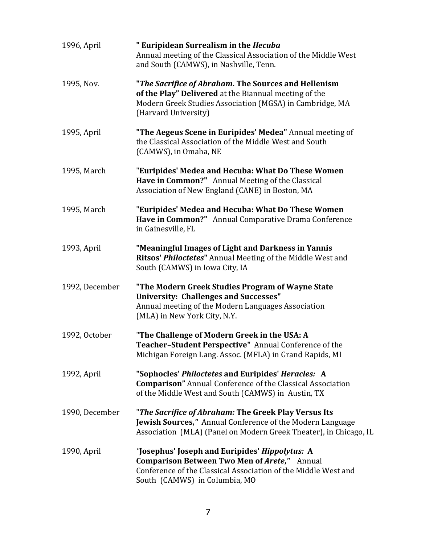| 1996, April    | " Euripidean Surrealism in the Hecuba<br>Annual meeting of the Classical Association of the Middle West<br>and South (CAMWS), in Nashville, Tenn.                                                        |
|----------------|----------------------------------------------------------------------------------------------------------------------------------------------------------------------------------------------------------|
| 1995, Nov.     | "The Sacrifice of Abraham. The Sources and Hellenism<br>of the Play" Delivered at the Biannual meeting of the<br>Modern Greek Studies Association (MGSA) in Cambridge, MA<br>(Harvard University)        |
| 1995, April    | "The Aegeus Scene in Euripides' Medea" Annual meeting of<br>the Classical Association of the Middle West and South<br>(CAMWS), in Omaha, NE                                                              |
| 1995, March    | "Euripides' Medea and Hecuba: What Do These Women<br>Have in Common?" Annual Meeting of the Classical<br>Association of New England (CANE) in Boston, MA                                                 |
| 1995, March    | "Euripides' Medea and Hecuba: What Do These Women<br>Have in Common?" Annual Comparative Drama Conference<br>in Gainesville, FL                                                                          |
| 1993, April    | "Meaningful Images of Light and Darkness in Yannis<br>Ritsos' Philoctetes" Annual Meeting of the Middle West and<br>South (CAMWS) in Iowa City, IA                                                       |
| 1992, December | "The Modern Greek Studies Program of Wayne State<br><b>University: Challenges and Successes"</b><br>Annual meeting of the Modern Languages Association<br>(MLA) in New York City, N.Y.                   |
| 1992, October  | "The Challenge of Modern Greek in the USA: A<br>Teacher-Student Perspective" Annual Conference of the<br>Michigan Foreign Lang. Assoc. (MFLA) in Grand Rapids, MI                                        |
| 1992, April    | "Sophocles' Philoctetes and Euripides' Heracles: A<br><b>Comparison"</b> Annual Conference of the Classical Association<br>of the Middle West and South (CAMWS) in Austin, TX                            |
| 1990, December | "The Sacrifice of Abraham: The Greek Play Versus Its<br><b>Jewish Sources,"</b> Annual Conference of the Modern Language<br>Association (MLA) (Panel on Modern Greek Theater), in Chicago, IL            |
| 1990, April    | "Josephus' Joseph and Euripides' Hippolytus: A<br><b>Comparison Between Two Men of Arete,"</b> Annual<br>Conference of the Classical Association of the Middle West and<br>South (CAMWS) in Columbia, MO |
|                |                                                                                                                                                                                                          |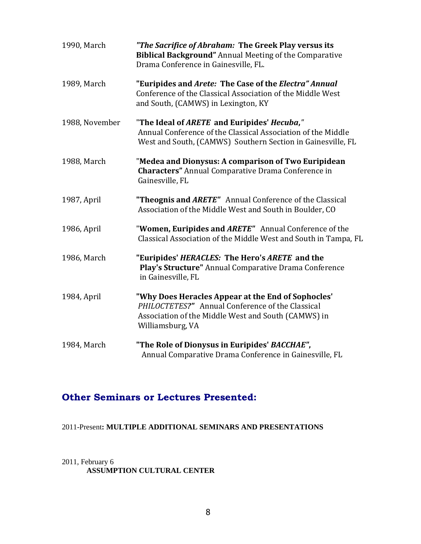| 1990, March    | "The Sacrifice of Abraham: The Greek Play versus its<br><b>Biblical Background"</b> Annual Meeting of the Comparative<br>Drama Conference in Gainesville, FL.                     |
|----------------|-----------------------------------------------------------------------------------------------------------------------------------------------------------------------------------|
| 1989, March    | "Euripides and Arete: The Case of the Electra" Annual<br>Conference of the Classical Association of the Middle West<br>and South, (CAMWS) in Lexington, KY                        |
| 1988, November | "The Ideal of ARETE and Euripides' Hecuba,"<br>Annual Conference of the Classical Association of the Middle<br>West and South, (CAMWS) Southern Section in Gainesville, FL        |
| 1988, March    | "Medea and Dionysus: A comparison of Two Euripidean<br><b>Characters"</b> Annual Comparative Drama Conference in<br>Gainesville, FL                                               |
| 1987, April    | "Theognis and ARETE" Annual Conference of the Classical<br>Association of the Middle West and South in Boulder, CO                                                                |
| 1986, April    | "Women, Euripides and ARETE" Annual Conference of the<br>Classical Association of the Middle West and South in Tampa, FL                                                          |
| 1986, March    | "Euripides' HERACLES: The Hero's ARETE and the<br>Play's Structure" Annual Comparative Drama Conference<br>in Gainesville, FL                                                     |
| 1984, April    | "Why Does Heracles Appear at the End of Sophocles'<br>PHILOCTETES?" Annual Conference of the Classical<br>Association of the Middle West and South (CAMWS) in<br>Williamsburg, VA |
| 1984, March    | "The Role of Dionysus in Euripides' BACCHAE",<br>Annual Comparative Drama Conference in Gainesville, FL                                                                           |

## **Other Seminars or Lectures Presented:**

## 2011-Present**: MULTIPLE ADDITIONAL SEMINARS AND PRESENTATIONS**

## 2011, February 6 **ASSUMPTION CULTURAL CENTER**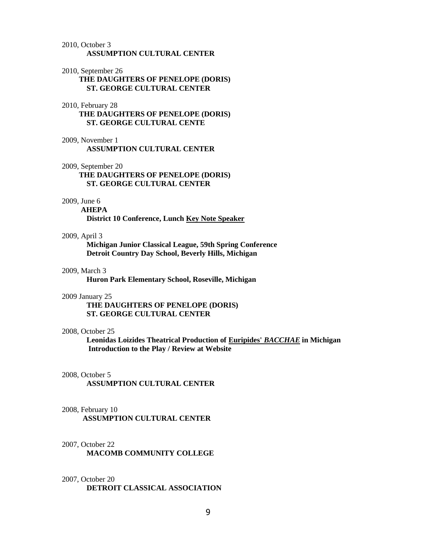#### 2010, October 3 **ASSUMPTION CULTURAL CENTER**

#### 2010, September 26

 **THE DAUGHTERS OF PENELOPE (DORIS) ST. GEORGE CULTURAL CENTER**

#### 2010, February 28

 **THE DAUGHTERS OF PENELOPE (DORIS) ST. GEORGE CULTURAL CENTE**

- 2009, November 1 **ASSUMPTION CULTURAL CENTER**
- 2009, September 20

 **THE DAUGHTERS OF PENELOPE (DORIS) ST. GEORGE CULTURAL CENTER** 

#### 2009, June 6

 **AHEPA District 10 Conference, Lunch Key Note Speaker**

#### 2009, April 3

**Michigan Junior Classical League, 59th Spring Conference Detroit Country Day School, Beverly Hills, Michigan**

#### 2009, March 3

**Huron Park Elementary School, Roseville, Michigan**

#### 2009 January 25

 **THE DAUGHTERS OF PENELOPE (DORIS) ST. GEORGE CULTURAL CENTER**

#### 2008, October 25

**Leonidas Loizides Theatrical Production of Euripides'** *BACCHAE* **in Michigan Introduction to the Play / Review at Website**

#### 2008, October 5

**ASSUMPTION CULTURAL CENTER**

#### 2008, February 10

 **ASSUMPTION CULTURAL CENTER**

#### 2007, October 22

**MACOMB COMMUNITY COLLEGE**

#### 2007, October 20 **DETROIT CLASSICAL ASSOCIATION**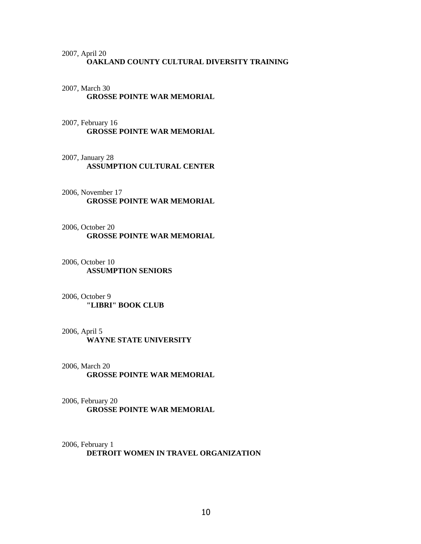### 2007, April 20 **OAKLAND COUNTY CULTURAL DIVERSITY TRAINING**

## 2007, March 30 **GROSSE POINTE WAR MEMORIAL**

## 2007, February 16 **GROSSE POINTE WAR MEMORIAL**

### 2007, January 28  **ASSUMPTION CULTURAL CENTER**

2006, November 17 **GROSSE POINTE WAR MEMORIAL** 

### 2006, October 20 **GROSSE POINTE WAR MEMORIAL**

### 2006, October 10 **ASSUMPTION SENIORS**

#### 2006, October 9 **"LIBRI" BOOK CLUB**

#### 2006, April 5

**WAYNE STATE UNIVERSITY** 

## 2006, March 20 **GROSSE POINTE WAR MEMORIAL**

## 2006, February 20 **GROSSE POINTE WAR MEMORIAL**

## 2006, February 1 **DETROIT WOMEN IN TRAVEL ORGANIZATION**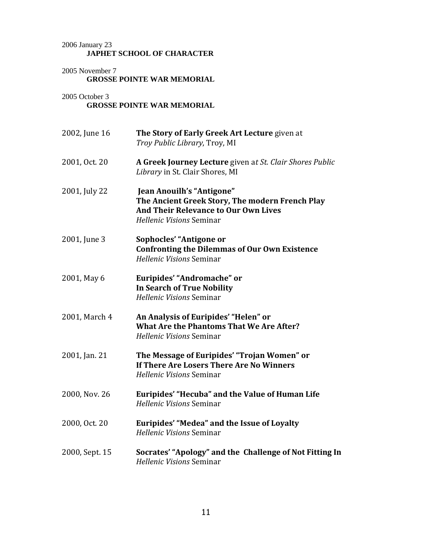## 2006 January 23 **JAPHET SCHOOL OF CHARACTER**

2005 November 7 **GROSSE POINTE WAR MEMORIAL**

## 2005 October 3 **GROSSE POINTE WAR MEMORIAL**

| 2002, June 16  | The Story of Early Greek Art Lecture given at<br>Troy Public Library, Troy, MI                                                                          |
|----------------|---------------------------------------------------------------------------------------------------------------------------------------------------------|
| 2001, Oct. 20  | A Greek Journey Lecture given at St. Clair Shores Public<br>Library in St. Clair Shores, MI                                                             |
| 2001, July 22  | Jean Anouilh's "Antigone"<br>The Ancient Greek Story, The modern French Play<br><b>And Their Relevance to Our Own Lives</b><br>Hellenic Visions Seminar |
| 2001, June 3   | Sophocles' "Antigone or<br><b>Confronting the Dilemmas of Our Own Existence</b><br><b>Hellenic Visions Seminar</b>                                      |
| 2001, May 6    | Euripides' "Andromache" or<br><b>In Search of True Nobility</b><br>Hellenic Visions Seminar                                                             |
| 2001, March 4  | An Analysis of Euripides' "Helen" or<br><b>What Are the Phantoms That We Are After?</b><br>Hellenic Visions Seminar                                     |
| 2001, Jan. 21  | The Message of Euripides' "Trojan Women" or<br>If There Are Losers There Are No Winners<br>Hellenic Visions Seminar                                     |
| 2000, Nov. 26  | Euripides' "Hecuba" and the Value of Human Life<br>Hellenic Visions Seminar                                                                             |
| 2000, Oct. 20  | Euripides' "Medea" and the Issue of Loyalty<br>Hellenic Visions Seminar                                                                                 |
| 2000, Sept. 15 | Socrates' "Apology" and the Challenge of Not Fitting In<br>Hellenic Visions Seminar                                                                     |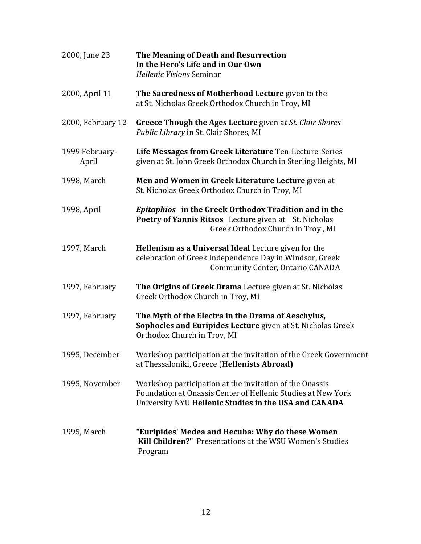| 2000, June 23           | The Meaning of Death and Resurrection<br>In the Hero's Life and in Our Own<br>Hellenic Visions Seminar                                                                           |
|-------------------------|----------------------------------------------------------------------------------------------------------------------------------------------------------------------------------|
| 2000, April 11          | The Sacredness of Motherhood Lecture given to the<br>at St. Nicholas Greek Orthodox Church in Troy, MI                                                                           |
| 2000, February 12       | <b>Greece Though the Ages Lecture given at St. Clair Shores</b><br>Public Library in St. Clair Shores, MI                                                                        |
| 1999 February-<br>April | Life Messages from Greek Literature Ten-Lecture-Series<br>given at St. John Greek Orthodox Church in Sterling Heights, MI                                                        |
| 1998, March             | Men and Women in Greek Literature Lecture given at<br>St. Nicholas Greek Orthodox Church in Troy, MI                                                                             |
| 1998, April             | Epitaphios in the Greek Orthodox Tradition and in the<br>Poetry of Yannis Ritsos Lecture given at St. Nicholas<br>Greek Orthodox Church in Troy, MI                              |
| 1997, March             | Hellenism as a Universal Ideal Lecture given for the<br>celebration of Greek Independence Day in Windsor, Greek<br><b>Community Center, Ontario CANADA</b>                       |
| 1997, February          | The Origins of Greek Drama Lecture given at St. Nicholas<br>Greek Orthodox Church in Troy, MI                                                                                    |
| 1997, February          | The Myth of the Electra in the Drama of Aeschylus,<br>Sophocles and Euripides Lecture given at St. Nicholas Greek<br>Orthodox Church in Troy, MI                                 |
| 1995, December          | Workshop participation at the invitation of the Greek Government<br>at Thessaloniki, Greece (Hellenists Abroad)                                                                  |
| 1995, November          | Workshop participation at the invitation of the Onassis<br>Foundation at Onassis Center of Hellenic Studies at New York<br>University NYU Hellenic Studies in the USA and CANADA |
| 1995, March             | "Euripides' Medea and Hecuba: Why do these Women<br><b>Kill Children?"</b> Presentations at the WSU Women's Studies<br>Program                                                   |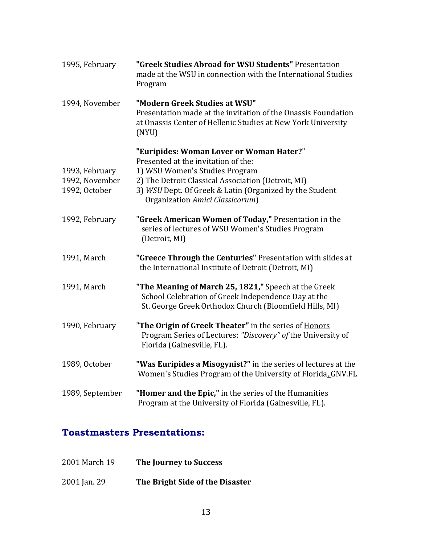| 1995, February                                    | "Greek Studies Abroad for WSU Students" Presentation<br>made at the WSU in connection with the International Studies<br>Program                                                                                                                                       |
|---------------------------------------------------|-----------------------------------------------------------------------------------------------------------------------------------------------------------------------------------------------------------------------------------------------------------------------|
| 1994, November                                    | "Modern Greek Studies at WSU"<br>Presentation made at the invitation of the Onassis Foundation<br>at Onassis Center of Hellenic Studies at New York University<br>(NYU)                                                                                               |
| 1993, February<br>1992, November<br>1992, October | "Euripides: Woman Lover or Woman Hater?"<br>Presented at the invitation of the:<br>1) WSU Women's Studies Program<br>2) The Detroit Classical Association (Detroit, MI)<br>3) WSU Dept. Of Greek & Latin (Organized by the Student<br>Organization Amici Classicorum) |
| 1992, February                                    | "Greek American Women of Today," Presentation in the<br>series of lectures of WSU Women's Studies Program<br>(Detroit, MI)                                                                                                                                            |
| 1991, March                                       | "Greece Through the Centuries" Presentation with slides at<br>the International Institute of Detroit (Detroit, MI)                                                                                                                                                    |
| 1991, March                                       | "The Meaning of March 25, 1821," Speech at the Greek<br>School Celebration of Greek Independence Day at the<br>St. George Greek Orthodox Church (Bloomfield Hills, MI)                                                                                                |
| 1990, February                                    | "The Origin of Greek Theater" in the series of Honors<br>Program Series of Lectures: "Discovery" of the University of<br>Florida (Gainesville, FL).                                                                                                                   |
| 1989, October                                     | "Was Euripides a Misogynist?" in the series of lectures at the<br>Women's Studies Program of the University of Florida_GNV.FL                                                                                                                                         |
| 1989, September                                   | "Homer and the Epic," in the series of the Humanities<br>Program at the University of Florida (Gainesville, FL).                                                                                                                                                      |

## **Toastmasters Presentations:**

| 2001 March 19 | The Journey to Success |
|---------------|------------------------|
|---------------|------------------------|

2001 Jan. 29 **The Bright Side of the Disaster**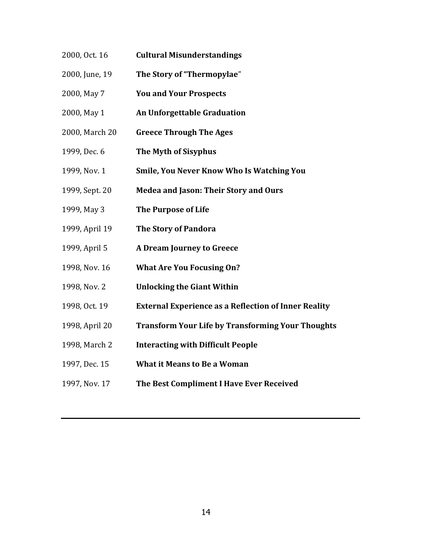- 2000, Oct. 16 **Cultural Misunderstandings**
- 2000, June, 19 **The Story of "Thermopylae**"
- 2000, May 7 **You and Your Prospects**
- 2000, May 1 **An Unforgettable Graduation**
- 2000, March 20 **Greece Through The Ages**
- 1999, Dec. 6 **The Myth of Sisyphus**
- 1999, Nov. 1 **Smile, You Never Know Who Is Watching You**
- 1999, Sept. 20 **Medea and Jason: Their Story and Ours**
- 1999, May 3 **The Purpose of Life**
- 1999, April 19 **The Story of Pandora**
- 1999, April 5 **A Dream Journey to Greece**
- 1998, Nov. 16 **What Are You Focusing On?**
- 1998, Nov. 2 **Unlocking the Giant Within**
- 1998, Oct. 19 **External Experience as a Reflection of Inner Reality**
- 1998, April 20 **Transform Your Life by Transforming Your Thoughts**
- 1998, March 2 **Interacting with Difficult People**
- 1997, Dec. 15 **What it Means to Be a Woman**
- 1997, Nov. 17 **The Best Compliment I Have Ever Received**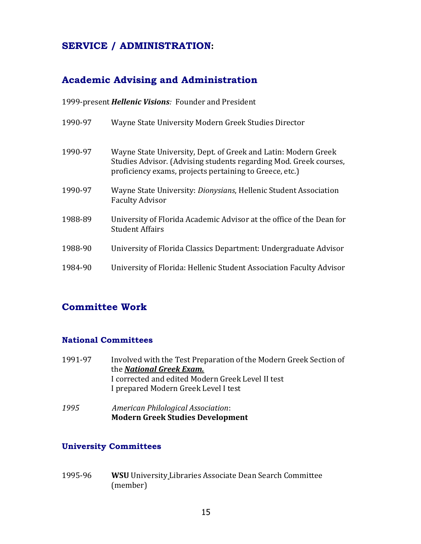## **SERVICE / ADMINISTRATION:**

## **Academic Advising and Administration**

1999-present *Hellenic Visions:* Founder and President

| 1990-97 | Wayne State University Modern Greek Studies Director                                                                                                                                           |
|---------|------------------------------------------------------------------------------------------------------------------------------------------------------------------------------------------------|
| 1990-97 | Wayne State University, Dept. of Greek and Latin: Modern Greek<br>Studies Advisor. (Advising students regarding Mod. Greek courses,<br>proficiency exams, projects pertaining to Greece, etc.) |
| 1990-97 | Wayne State University: Dionysians, Hellenic Student Association<br><b>Faculty Advisor</b>                                                                                                     |
| 1988-89 | University of Florida Academic Advisor at the office of the Dean for<br><b>Student Affairs</b>                                                                                                 |
| 1988-90 | University of Florida Classics Department: Undergraduate Advisor                                                                                                                               |
| 1984-90 | University of Florida: Hellenic Student Association Faculty Advisor                                                                                                                            |

## **Committee Work**

## **National Committees**

| 1991-97 | Involved with the Test Preparation of the Modern Greek Section of |  |
|---------|-------------------------------------------------------------------|--|
|         | the <b>National Greek Exam.</b>                                   |  |
|         | I corrected and edited Modern Greek Level II test                 |  |
|         | I prepared Modern Greek Level I test                              |  |
|         |                                                                   |  |

*1995 American Philological Association*: **Modern Greek Studies Development**

## **University Committees**

1995-96 **WSU** University Libraries Associate Dean Search Committee (member)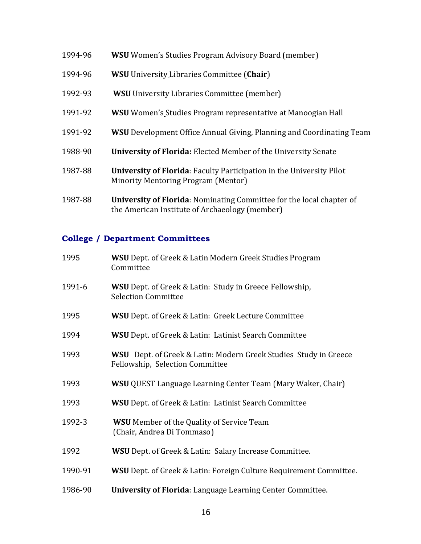| 1994-96 | <b>WSU</b> Women's Studies Program Advisory Board (member)                                                             |
|---------|------------------------------------------------------------------------------------------------------------------------|
| 1994-96 | <b>WSU</b> University Libraries Committee (Chair)                                                                      |
| 1992-93 | <b>WSU</b> University Libraries Committee (member)                                                                     |
| 1991-92 | WSU Women's Studies Program representative at Manoogian Hall                                                           |
| 1991-92 | <b>WSU</b> Development Office Annual Giving, Planning and Coordinating Team                                            |
| 1988-90 | <b>University of Florida:</b> Elected Member of the University Senate                                                  |
| 1987-88 | <b>University of Florida:</b> Faculty Participation in the University Pilot<br>Minority Mentoring Program (Mentor)     |
| 1987-88 | University of Florida: Nominating Committee for the local chapter of<br>the American Institute of Archaeology (member) |

## **College / Department Committees**

| 1995    | <b>WSU</b> Dept. of Greek & Latin Modern Greek Studies Program<br>Committee                                |
|---------|------------------------------------------------------------------------------------------------------------|
| 1991-6  | <b>WSU</b> Dept. of Greek & Latin: Study in Greece Fellowship,<br><b>Selection Committee</b>               |
| 1995    | <b>WSU</b> Dept. of Greek & Latin: Greek Lecture Committee                                                 |
| 1994    | <b>WSU</b> Dept. of Greek & Latin: Latinist Search Committee                                               |
| 1993    | <b>WSU</b> Dept. of Greek & Latin: Modern Greek Studies Study in Greece<br>Fellowship, Selection Committee |
| 1993    | <b>WSU</b> QUEST Language Learning Center Team (Mary Waker, Chair)                                         |
| 1993    | WSU Dept. of Greek & Latin: Latinist Search Committee                                                      |
| 1992-3  | <b>WSU</b> Member of the Quality of Service Team<br>(Chair, Andrea Di Tommaso)                             |
| 1992    | <b>WSU</b> Dept. of Greek & Latin: Salary Increase Committee.                                              |
| 1990-91 | <b>WSU</b> Dept. of Greek & Latin: Foreign Culture Requirement Committee.                                  |
| 1986-90 | University of Florida: Language Learning Center Committee.                                                 |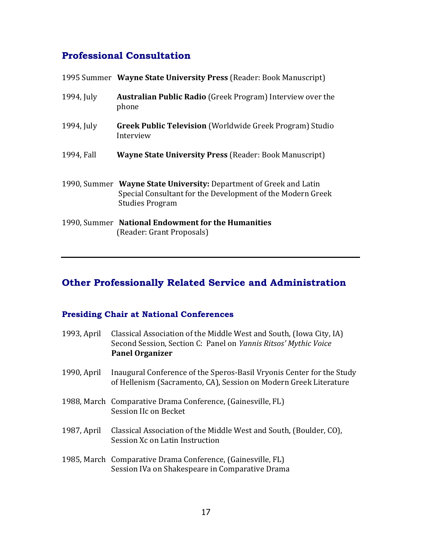## **Professional Consultation**

|            | 1995 Summer Wayne State University Press (Reader: Book Manuscript)                                                                                         |
|------------|------------------------------------------------------------------------------------------------------------------------------------------------------------|
| 1994, July | <b>Australian Public Radio</b> (Greek Program) Interview over the<br>phone                                                                                 |
| 1994, July | <b>Greek Public Television</b> (Worldwide Greek Program) Studio<br>Interview                                                                               |
| 1994, Fall | <b>Wayne State University Press (Reader: Book Manuscript)</b>                                                                                              |
|            | 1990, Summer Wayne State University: Department of Greek and Latin<br>Special Consultant for the Development of the Modern Greek<br><b>Studies Program</b> |
|            | 1990, Summer National Endowment for the Humanities<br>(Reader: Grant Proposals)                                                                            |

# **Other Professionally Related Service and Administration**

# **Presiding Chair at National Conferences**

| 1993, April | Classical Association of the Middle West and South, (Iowa City, IA)<br>Second Session, Section C: Panel on Yannis Ritsos' Mythic Voice<br><b>Panel Organizer</b> |
|-------------|------------------------------------------------------------------------------------------------------------------------------------------------------------------|
| 1990, April | Inaugural Conference of the Speros-Basil Vryonis Center for the Study<br>of Hellenism (Sacramento, CA), Session on Modern Greek Literature                       |
|             | 1988, March Comparative Drama Conference, (Gainesville, FL)<br>Session IIc on Becket                                                                             |
| 1987, April | Classical Association of the Middle West and South, (Boulder, CO),<br>Session Xc on Latin Instruction                                                            |
|             | 1985, March Comparative Drama Conference, (Gainesville, FL)<br>Session IVa on Shakespeare in Comparative Drama                                                   |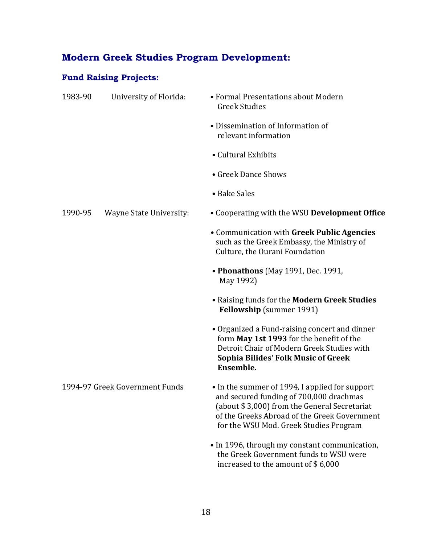# **Modern Greek Studies Program Development:**

## **Fund Raising Projects:**

| 1983-90                        | University of Florida:  | • Formal Presentations about Modern<br><b>Greek Studies</b>                                                                                                                                                                         |
|--------------------------------|-------------------------|-------------------------------------------------------------------------------------------------------------------------------------------------------------------------------------------------------------------------------------|
|                                |                         | • Dissemination of Information of<br>relevant information                                                                                                                                                                           |
|                                |                         | • Cultural Exhibits                                                                                                                                                                                                                 |
|                                |                         | • Greek Dance Shows                                                                                                                                                                                                                 |
|                                |                         | • Bake Sales                                                                                                                                                                                                                        |
| 1990-95                        | Wayne State University: | • Cooperating with the WSU Development Office                                                                                                                                                                                       |
|                                |                         | • Communication with Greek Public Agencies<br>such as the Greek Embassy, the Ministry of<br>Culture, the Ourani Foundation                                                                                                          |
|                                |                         | • Phonathons (May 1991, Dec. 1991,<br>May 1992)                                                                                                                                                                                     |
|                                |                         | • Raising funds for the Modern Greek Studies<br><b>Fellowship</b> (summer 1991)                                                                                                                                                     |
|                                |                         | • Organized a Fund-raising concert and dinner<br>form May 1st 1993 for the benefit of the<br>Detroit Chair of Modern Greek Studies with<br><b>Sophia Bilides' Folk Music of Greek</b><br>Ensemble.                                  |
| 1994-97 Greek Government Funds |                         | • In the summer of 1994, I applied for support<br>and secured funding of 700,000 drachmas<br>(about \$3,000) from the General Secretariat<br>of the Greeks Abroad of the Greek Government<br>for the WSU Mod. Greek Studies Program |
|                                |                         | • In 1996, through my constant communication,<br>the Greek Government funds to WSU were<br>increased to the amount of \$6,000                                                                                                       |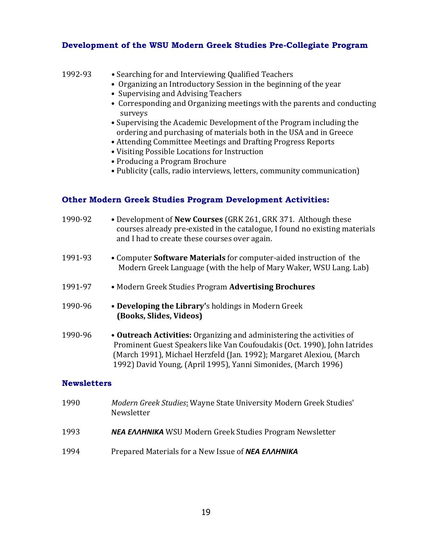## **Development of the WSU Modern Greek Studies Pre-Collegiate Program**

1992-93 **•** Searching for and Interviewing Qualified Teachers

| • Organizing an Introductory Session in the beginning of the year                                                                                                                                                                                                                            |
|----------------------------------------------------------------------------------------------------------------------------------------------------------------------------------------------------------------------------------------------------------------------------------------------|
| • Supervising and Advising Teachers                                                                                                                                                                                                                                                          |
| • Corresponding and Organizing meetings with the parents and conducting<br>surveys                                                                                                                                                                                                           |
| • Supervising the Academic Development of the Program including the<br>ordering and purchasing of materials both in the USA and in Greece<br>• Attending Committee Meetings and Drafting Progress Reports<br>• Visiting Possible Locations for Instruction<br>• Producing a Program Brochure |
| • Publicity (calls, radio interviews, letters, community communication)                                                                                                                                                                                                                      |
| <b>Other Modern Greek Studies Program Development Activities:</b>                                                                                                                                                                                                                            |
|                                                                                                                                                                                                                                                                                              |

| 1990-92 | • Development of New Courses (GRK 261, GRK 371. Although these<br>courses already pre-existed in the catalogue, I found no existing materials<br>and I had to create these courses over again. |
|---------|------------------------------------------------------------------------------------------------------------------------------------------------------------------------------------------------|
| 1991-93 | • Computer Software Materials for computer-aided instruction of the<br>Modern Greek Language (with the help of Mary Waker, WSU Lang. Lab)                                                      |
| 1991-97 | • Modern Greek Studies Program Advertising Brochures                                                                                                                                           |
| 1990-96 | • Developing the Library's holdings in Modern Greek<br>(Books, Slides, Videos)                                                                                                                 |
| 1990-96 | • Outreach Activities: Organizing and administering the activities of<br>Prominent Guest Speakers like Van Coufoudakis (Oct. 1990). John Jatrides                                              |

ent Guest Speakers like Van Coufoudakis (Oct. 1990), John Iatrides (March 1991), Michael Herzfeld (Jan. 1992); Margaret Alexiou, (March 1992) David Young, (April 1995), Yanni Simonides, (March 1996)

## **Newsletters**

- 1990 *Modern Greek Studies*: Wayne State University Modern Greek Studies' Newsletter
- 1993 *ΝΕΑ ΕΛΛΗΝΙΚΑ* WSU Modern Greek Studies Program Newsletter
- 1994 Prepared Materials for a New Issue of *ΝΕΑ ΕΛΛΗΝΙΚΑ*